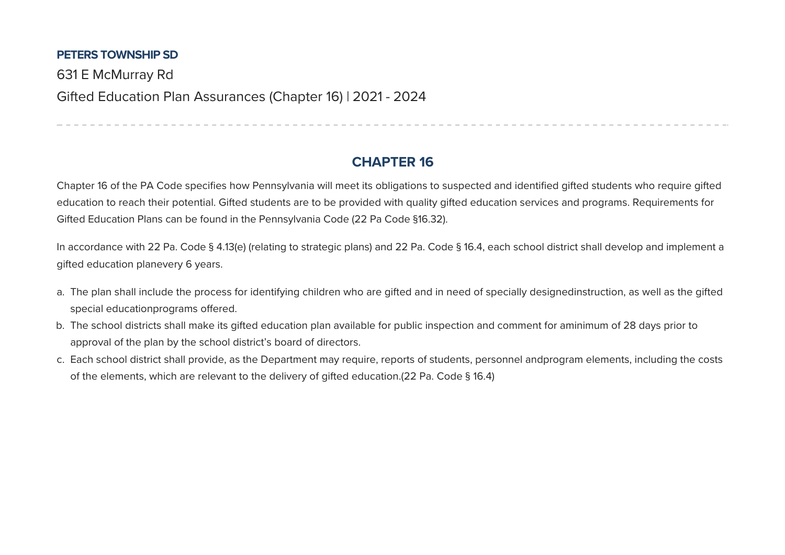## **PETERS TOWNSHIP SD**

631 E McMurray Rd Gifted Education Plan Assurances (Chapter 16) | 2021 - 2024

## **CHAPTER 16**

------------------------------

Chapter 16 of the PA Code specifies how Pennsylvania will meet its obligations to suspected and identified gifted students who require gifted education to reach their potential. Gifted students are to be provided with quality gifted education services and programs. Requirements for Gifted Education Plans can be found in the Pennsylvania Code (22 Pa Code §16.32).

In accordance with 22 Pa. Code § 4.13(e) (relating to strategic plans) and 22 Pa. Code § 16.4, each school district shall develop and implement a gifted education planevery 6 years.

- a. The plan shall include the process for identifying children who are gifted and in need of specially designedinstruction, as well as the gifted special educationprograms offered.
- b. The school districts shall make its gifted education plan available for public inspection and comment for aminimum of 28 days prior to approval of the plan by the school district's board of directors.
- c. Each school district shall provide, as the Department may require, reports of students, personnel andprogram elements, including the costs of the elements, which are relevant to the delivery of gifted education.(22 Pa. Code § 16.4)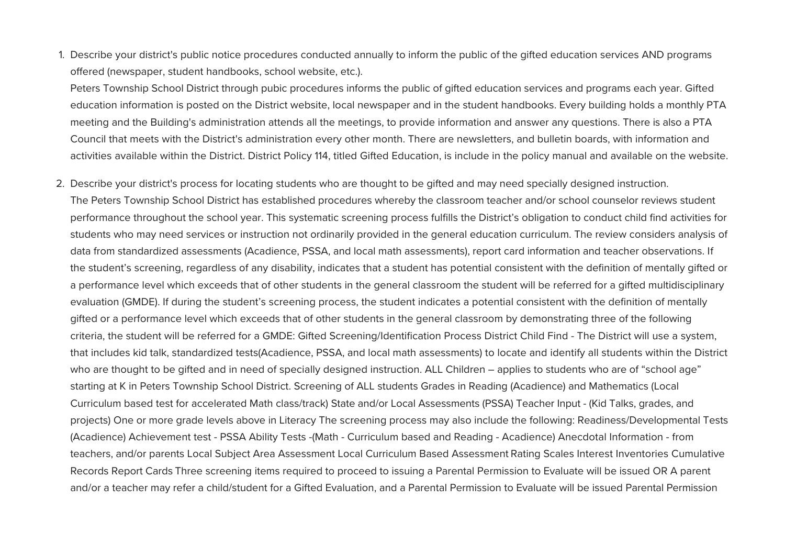1. Describe your district's public notice procedures conducted annually to inform the public of the gifted education services AND programs offered (newspaper, student handbooks, school website, etc.).

Peters Township School District through pubic procedures informs the public of gifted education services and programs each year. Gifted education information is posted on the District website, local newspaper and in the student handbooks. Every building holds a monthly PTA meeting and the Building's administration attends all the meetings, to provide information and answer any questions. There is also a PTA Council that meets with the District's administration every other month. There are newsletters, and bulletin boards, with information and activities available within the District. District Policy 114, titled Gifted Education, is include in the policy manual and available on the website.

2. Describe your district's process for locating students who are thought to be gifted and may need specially designed instruction. The Peters Township School District has established procedures whereby the classroom teacher and/or school counselor reviews student performance throughout the school year. This systematic screening process fulfills the District's obligation to conduct child find activities for students who may need services or instruction not ordinarily provided in the general education curriculum. The review considers analysis of data from standardized assessments (Acadience, PSSA, and local math assessments), report card information and teacher observations. If the student's screening, regardless of any disability, indicates that a student has potential consistent with the definition of mentally gifted or a performance level which exceeds that of other students in the general classroom the student will be referred for a gifted multidisciplinary evaluation (GMDE). If during the student's screening process, the student indicates a potential consistent with the definition of mentally gifted or a performance level which exceeds that of other students in the general classroom by demonstrating three of the following criteria, the student will be referred for a GMDE: Gifted Screening/Identification Process District Child Find - The District will use a system, that includes kid talk, standardized tests(Acadience, PSSA, and local math assessments) to locate and identify all students within the District who are thought to be gifted and in need of specially designed instruction. ALL Children – applies to students who are of "school age" starting at K in Peters Township School District. Screening of ALL students Grades in Reading (Acadience) and Mathematics (Local Curriculum based test for accelerated Math class/track) State and/or Local Assessments (PSSA) Teacher Input - (Kid Talks, grades, and projects) One or more grade levels above in Literacy The screening process may also include the following: Readiness/Developmental Tests (Acadience) Achievement test - PSSA Ability Tests -(Math - Curriculum based and Reading - Acadience) Anecdotal Information - from teachers, and/or parents Local Subject Area Assessment Local Curriculum Based Assessment Rating Scales Interest Inventories Cumulative Records Report Cards Three screening items required to proceed to issuing a Parental Permission to Evaluate will be issued OR A parent and/or a teacher may refer a child/student for a Gifted Evaluation, and a Parental Permission to Evaluate will be issued Parental Permission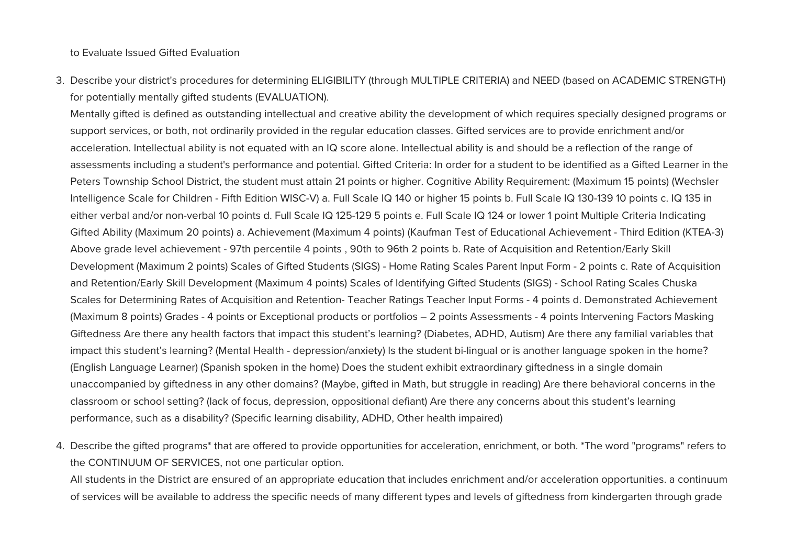to Evaluate Issued Gifted Evaluation

3. Describe your district's procedures for determining ELIGIBILITY (through MULTIPLE CRITERIA) and NEED (based on ACADEMIC STRENGTH) for potentially mentally gifted students (EVALUATION).

Mentally gifted is defined as outstanding intellectual and creative ability the development of which requires specially designed programs or support services, or both, not ordinarily provided in the regular education classes. Gifted services are to provide enrichment and/or acceleration. Intellectual ability is not equated with an IQ score alone. Intellectual ability is and should be a reflection of the range of assessments including a student's performance and potential. Gifted Criteria: In order for a student to be identified as a Gifted Learner in the Peters Township School District, the student must attain 21 points or higher. Cognitive Ability Requirement: (Maximum 15 points) (Wechsler Intelligence Scale for Children - Fifth Edition WISC-V) a. Full Scale IQ 140 or higher 15 points b. Full Scale IQ 130-139 10 points c. IQ 135 in either verbal and/or non-verbal 10 points d. Full Scale IQ 125-129 5 points e. Full Scale IQ 124 or lower 1 point Multiple Criteria Indicating Gifted Ability (Maximum 20 points) a. Achievement (Maximum 4 points) (Kaufman Test of Educational Achievement - Third Edition (KTEA-3) Above grade level achievement - 97th percentile 4 points, 90th to 96th 2 points b. Rate of Acquisition and Retention/Early Skill Development (Maximum 2 points) Scales of Gifted Students (SIGS) - Home Rating Scales Parent Input Form - 2 points c. Rate of Acquisition and Retention/Early Skill Development (Maximum 4 points) Scales of Identifying Gifted Students (SIGS) - School Rating Scales Chuska Scales for Determining Rates of Acquisition and Retention- Teacher Ratings Teacher Input Forms - 4 points d. Demonstrated Achievement (Maximum 8 points) Grades - 4 points or Exceptional products or portfolios – 2 points Assessments - 4 points Intervening Factors Masking Giftedness Are there any health factors that impact this student's learning? (Diabetes, ADHD, Autism) Are there any familial variables that impact this student's learning? (Mental Health - depression/anxiety) Is the student bi-lingual or is another language spoken in the home? (English Language Learner) (Spanish spoken in the home) Does the student exhibit extraordinary giftedness in a single domain unaccompanied by giftedness in any other domains? (Maybe, gifted in Math, but struggle in reading) Are there behavioral concerns in the classroom or school setting? (lack of focus, depression, oppositional defiant) Are there any concerns about this student's learning performance, such as a disability? (Specific learning disability, ADHD, Other health impaired)

4. Describe the gifted programs\* that are offered to provide opportunities for acceleration, enrichment, or both. \*The word "programs" refers to the CONTINUUM OF SERVICES, not one particular option.

All students in the District are ensured of an appropriate education that includes enrichment and/or acceleration opportunities. a continuum of services will be available to address the specific needs of many different types and levels of giftedness from kindergarten through grade